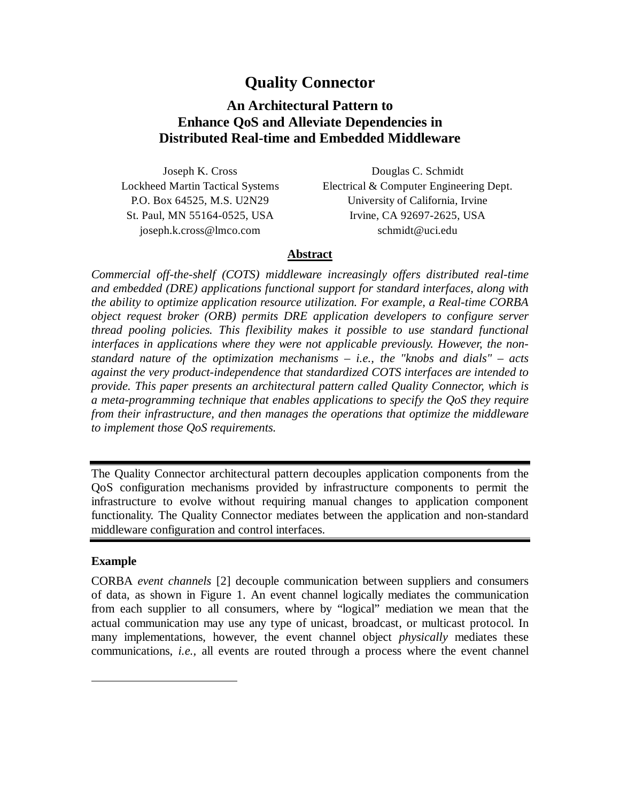# **Quality Connector**

# **An Architectural Pattern to Enhance QoS and Alleviate Dependencies in Distributed Real-time and Embedded Middleware**

Joseph K. Cross Lockheed Martin Tactical Systems P.O. Box 64525, M.S. U2N29 St. Paul, MN 55164-0525, USA joseph.k.cross@lmco.com

Douglas C. Schmidt Electrical & Computer Engineering Dept. University of California, Irvine Irvine, CA 92697-2625, USA schmidt@uci.edu

# **Abstract**

*Commercial off-the-shelf (COTS) middleware increasingly offers distributed real-time and embedded (DRE) applications functional support for standard interfaces, along with the ability to optimize application resource utilization. For example, a Real-time CORBA object request broker (ORB) permits DRE application developers to configure server thread pooling policies. This flexibility makes it possible to use standard functional interfaces in applications where they were not applicable previously. However, the nonstandard nature of the optimization mechanisms – i.e., the "knobs and dials" – acts against the very product-independence that standardized COTS interfaces are intended to provide. This paper presents an architectural pattern called Quality Connector, which is a meta-programming technique that enables applications to specify the QoS they require from their infrastructure, and then manages the operations that optimize the middleware to implement those QoS requirements.*

The Quality Connector architectural pattern decouples application components from the QoS configuration mechanisms provided by infrastructure components to permit the infrastructure to evolve without requiring manual changes to application component functionality. The Quality Connector mediates between the application and non-standard middleware configuration and control interfaces.

#### **Example**

 $\overline{a}$ 

CORBA *event channels* [2] decouple communication between suppliers and consumers of data, as shown in Figure 1. An event channel logically mediates the communication from each supplier to all consumers, where by "logical" mediation we mean that the actual communication may use any type of unicast, broadcast, or multicast protocol. In many implementations, however, the event channel object *physically* mediates these communications, *i.e.,* all events are routed through a process where the event channel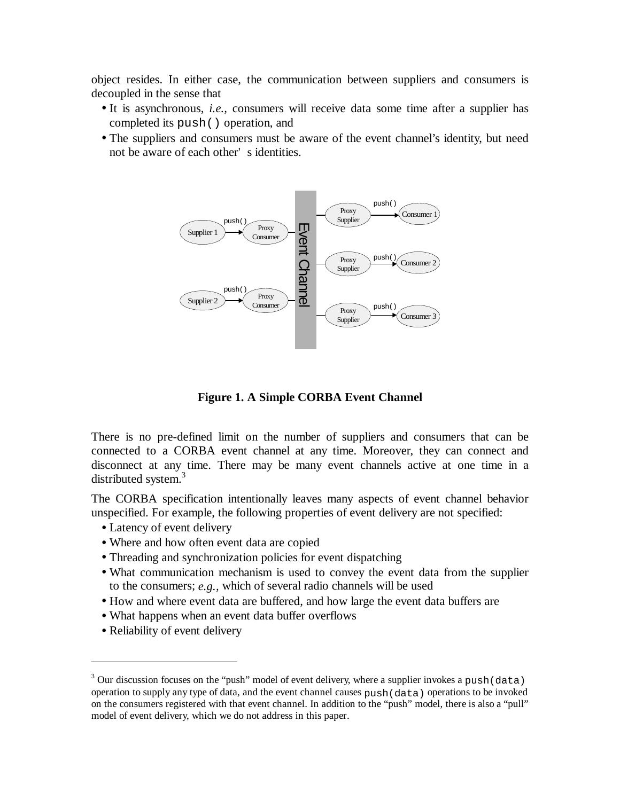object resides. In either case, the communication between suppliers and consumers is decoupled in the sense that

- It is asynchronous, *i.e.,* consumers will receive data some time after a supplier has completed its push() operation, and
- The suppliers and consumers must be aware of the event channel's identity, but need not be aware of each other' s identities.



**Figure 1. A Simple CORBA Event Channel**

There is no pre-defined limit on the number of suppliers and consumers that can be connected to a CORBA event channel at any time. Moreover, they can connect and disconnect at any time. There may be many event channels active at one time in a distributed system.<sup>3</sup>

The CORBA specification intentionally leaves many aspects of event channel behavior unspecified. For example, the following properties of event delivery are not specified:

- Latency of event delivery
- Where and how often event data are copied
- Threading and synchronization policies for event dispatching
- What communication mechanism is used to convey the event data from the supplier to the consumers; *e.g.,* which of several radio channels will be used
- How and where event data are buffered, and how large the event data buffers are
- What happens when an event data buffer overflows
- Reliability of event delivery

 $\overline{a}$ 

<sup>&</sup>lt;sup>3</sup> Our discussion focuses on the "push" model of event delivery, where a supplier invokes a push(data) operation to supply any type of data, and the event channel causes push(data) operations to be invoked on the consumers registered with that event channel. In addition to the "push" model, there is also a "pull" model of event delivery, which we do not address in this paper.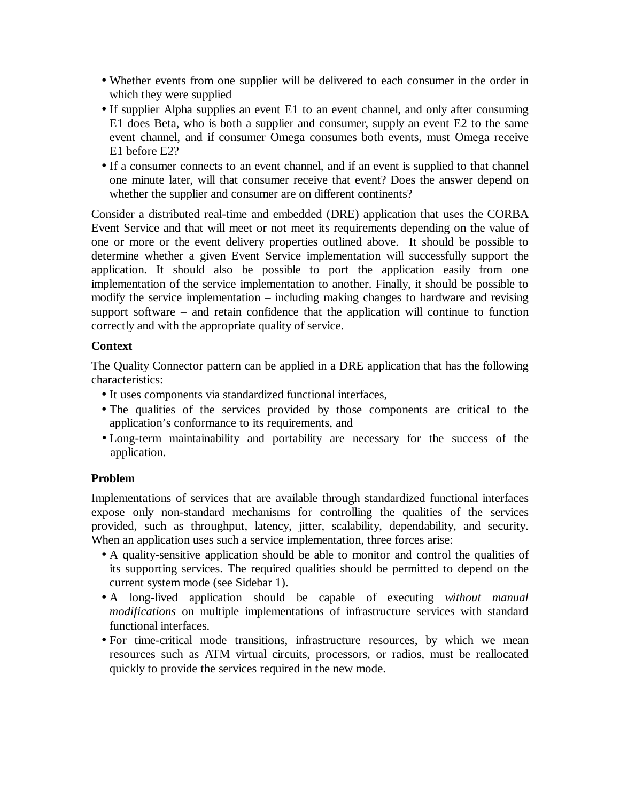- Whether events from one supplier will be delivered to each consumer in the order in which they were supplied
- If supplier Alpha supplies an event E1 to an event channel, and only after consuming E1 does Beta, who is both a supplier and consumer, supply an event E2 to the same event channel, and if consumer Omega consumes both events, must Omega receive E1 before E2?
- If a consumer connects to an event channel, and if an event is supplied to that channel one minute later, will that consumer receive that event? Does the answer depend on whether the supplier and consumer are on different continents?

Consider a distributed real-time and embedded (DRE) application that uses the CORBA Event Service and that will meet or not meet its requirements depending on the value of one or more or the event delivery properties outlined above. It should be possible to determine whether a given Event Service implementation will successfully support the application. It should also be possible to port the application easily from one implementation of the service implementation to another. Finally, it should be possible to modify the service implementation – including making changes to hardware and revising support software – and retain confidence that the application will continue to function correctly and with the appropriate quality of service.

# **Context**

The Quality Connector pattern can be applied in a DRE application that has the following characteristics:

- It uses components via standardized functional interfaces,
- The qualities of the services provided by those components are critical to the application's conformance to its requirements, and
- Long-term maintainability and portability are necessary for the success of the application.

# **Problem**

Implementations of services that are available through standardized functional interfaces expose only non-standard mechanisms for controlling the qualities of the services provided, such as throughput, latency, jitter, scalability, dependability, and security. When an application uses such a service implementation, three forces arise:

- A quality-sensitive application should be able to monitor and control the qualities of its supporting services. The required qualities should be permitted to depend on the current system mode (see Sidebar 1).
- A long-lived application should be capable of executing *without manual modifications* on multiple implementations of infrastructure services with standard functional interfaces.
- For time-critical mode transitions, infrastructure resources, by which we mean resources such as ATM virtual circuits, processors, or radios, must be reallocated quickly to provide the services required in the new mode.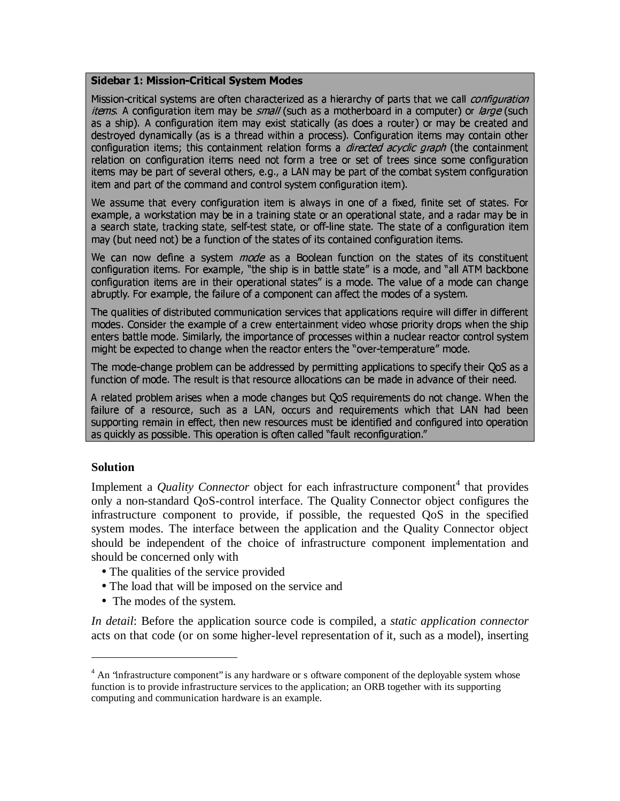#### Sidebar 1: Mission-Critical Svstem Modes and the Sidebar 1

 $243$  for the set of the control  $\mathbb{R}^n$  and  $\mathbb{R}^n$  is the following term  $\mathbb{R}^n$  . The following term  $\mathbb{R}^n$ wxPyFzJ{|&}~V T)? =J)S ) =)SSFKYJ ?S¡¢=£SC¢L¤¥¦/NV §C =¡¢u¨© ¢ ª«¬L ® =)S) ≈≈≈ ≈àiva) ∄ saatisiinda dana nasi sinda shakasili faa daaa a usidad au nasi ka susanad an ÊCðEÀÁ¿L¹ÆÃÊ ÊÆ\$ºS¯Ä² ·V¯ÈÈÆ ÉÏÐÑ ÐÏÒ?ÓCÔLÕÏÖ×JÑ Ò?ÓCÑØÏÂÙCÔLÚCÛVÕFÐVÐÜÝÞ Ú ØßàÑ <sup>á</sup>âCÔ]ÏSÒ?Ñ <sup>Ú</sup>ØÑ Ò=ÕãJÐNãJÏSäÛVÚ ØÒ=ÏÑØåÚÒ?ÓSÕÔævistiniina eiskunda ihjajaraa kandan saakan kandan kanda ei dinaskaal aaistis analik ihja aanakan saa - !" # \$ % & ' )(\*
)+, -. ' & /
)0 ) '&1&- &- 
2 !" # 3 4%576896:;=<5=>:?@4BA)CD8-5E'5?F:G'A)4#H5?F8I5JKLJMI:ONQPDR6:;S<5O>:?@4TAUC4#H5WVA6W<:4T8Q;'8Q4%576XVAY2C 3 KZ?F:4#3 AY  $3 \times 7$  5  $\pm$  7  $\pm$  7  $\pm$  7  $\pm$  7  $\pm$  7  $\pm$  7  $\pm$  7  $\pm$  7  $\pm$  7  $\pm$  7  $\pm$  7  $\pm$  7  $\pm$  7  $\pm$  7  $\pm$  7  $\pm$  7  $\pm$  7  $\pm$  7  $\pm$  7  $\pm$  7  $\pm$  7  $\pm$  7  $\pm$  7  $\pm$  7  $\pm$  7  $\pm$  7  $\pm$  7  $\pm$  7  $\pm$  7  $\pm$  7

fghci $f$  is the cip)righcial corresponding to the dvaxdis points  $\alpha$  is the dvaxdis of dvaxdis  $\alpha$  in  $\alpha$ example, a workstation may be in a training state or an operational state, and a radar may be in )FOQ%UT# )^%¡ ¢£%)^xQ%%DB)¢F¢£ ¤¥¦§=¨Q©ª©%§¬«¯®§=¨Q©%ª©%§=°)±²ª=³-°¦± ¥ ´µ¶ ª©#¥ °¦¥ ©§· ·ª¸9¹»ºµ©²¦§)§)¼=¦°U©¾½~º§Wª± µ¦³^©#¥ °¦/°U±©#®§W¨^©%ª©§)¨ °)±¯¥ ©¨0³-°¦©%ª7¥¦§'¼]³°¦± ¥ ´µ¶@ª© ¥ °¦\¥ ©%§7·¨)«

}≬{a agus ajal}adig a a shana agaala ag a Daolaga finaban ag bha ababan af da agaabhinab Í ðaákörundura skanaa í að arannak Núka akra að veið þekka að aðakali er a varala að eil leit liti þan lanna í Ø-ÙÚÛ Ü ÝÞ`ß àá#Ü ÙÚ.Ü áâãä]à7ßFâÜÚOá#ìâÜßBÙ èâß@àá Ü ÙÚà7éä^á%àáâ)äîÜ äWà.ãÙï`â¬åò¯ìâOõàéÞâ1Ù)ÛöàyãÙïâ=Ø-àÚSØìàÚÝâàíß%Þèá#é÷åæ-Ùßâç'àãWèé âêá#ìâÛFàÜéÞßFâWÙ)ÛðàWØÙãWèÙÚâÚáDØàÚàÛøÛ,â)Ø^áðá#ìâOãÙïâ)ä0Ù)ÛàWäQ÷'äQá%â7ã\å

vers and the sound of the sound of the sound of the sound of the sound of the sound of the sound of the sound o under and description of the control of the control of the control of the control of the control of the control of the control of the control of the control of the control of the control of the control of the control of t  $5.658\pm0.5$  in the state in the state  $\sim$   $1.6$  for  $\sim$   $3.6$  for  $\sim$   $3.6$  for  $\sim$   $3.6$  for  $\sim$   $1.6$  for  $\sim$   $1.6$  for  $\sim$   $1.6$  for  $\sim$   $1.6$  for  $\sim$   $1.6$  for  $\sim$   $1.6$  for  $\sim$   $1.6$  for  $\sim$   $1.6$  for  $\$ =B PERTY ASSESSED TO THE RESIDENCE OF A STATE SERVICE OF A STATE OF A STATE OF A STATE OF A STATE OF A STATE O

The mode-change problem can be addressed by permitting applications to specify their QoS as a diga a g adda roga a rhoga a rhoga a chbail canar cho bha ann ann an an an an an an adhan gha an an an an a-ch

 $\Lambda$  representative brand broject parameter and parameter  $\Lambda$ a $C$  me the second gical phase  $M$ h parameter  $J$ db jaro je r(mad br(mchi e rhm0c e rhm0c e rhm0c e)h pbcbx/ ej r(mkm gic{'p j h pbi x/ pbi x/ pbi x/ pbl tmm g c e yy radio y yy radio i pozostał jedno godina zaprawanie do do koliczał po do bodzieniem jedno godine je roz bc) ej his beste je his manore je s manore je s meli sa meli sa meli su meli su meli su  $\theta$ 

#### **Solution**

 $\overline{a}$ 

Implement a *Quality Connector* object for each infrastructure component<sup>4</sup> that provides only a non-standard QoS-control interface. The Quality Connector object configures the infrastructure component to provide, if possible, the requested QoS in the specified system modes. The interface between the application and the Quality Connector object should be independent of the choice of infrastructure component implementation and should be concerned only with

- The qualities of the service provided
- The load that will be imposed on the service and
- The modes of the system.

*In detail*: Before the application source code is compiled, a *static application connector* acts on that code (or on some higher-level representation of it, such as a model), inserting

<sup>&</sup>lt;sup>4</sup> An 'infrastructure component'' is any hardware or s oftware component of the deployable system whose function is to provide infrastructure services to the application; an ORB together with its supporting computing and communication hardware is an example.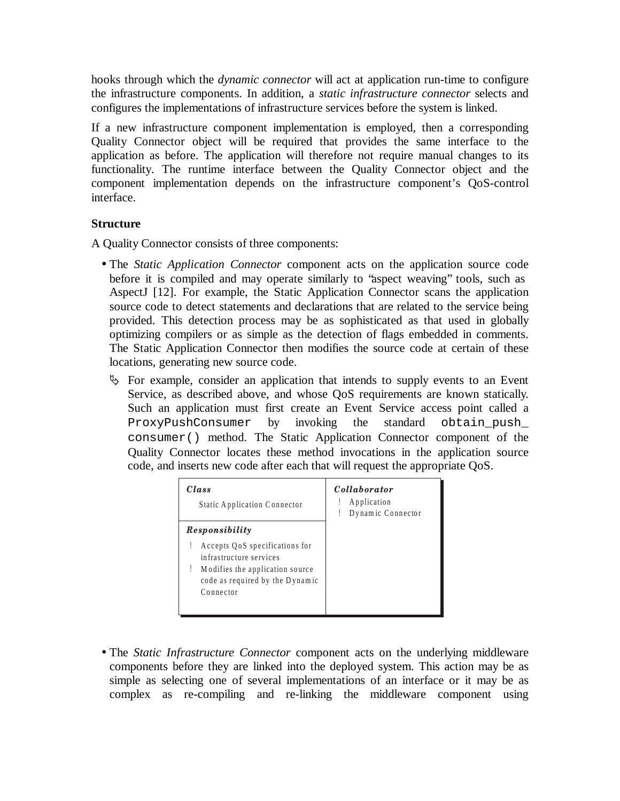hooks through which the *dynamic connector* will act at application run-time to configure the infrastructure components. In addition, a *static infrastructure connector* selects and configures the implementations of infrastructure services before the system is linked.

If a new infrastructure component implementation is employed, then a corresponding Quality Connector object will be required that provides the same interface to the application as before. The application will therefore not require manual changes to its functionality. The runtime interface between the Quality Connector object and the component implementation depends on the infrastructure component's QoS-control interface.

# **Structure**

A Quality Connector consists of three components:

- The *Static Application Connector* component acts on the application source code before it is compiled and may operate similarly to "aspect weaving" tools, such as AspectJ [12]. For example, the Static Application Connector scans the application source code to detect statements and declarations that are related to the service being provided. This detection process may be as sophisticated as that used in globally optimizing compilers or as simple as the detection of flags embedded in comments. The Static Application Connector then modifies the source code at certain of these locations, generating new source code.
	- For example, consider an application that intends to supply events to an Event Service, as described above, and whose QoS requirements are known statically. Such an application must first create an Event Service access point called a ProxyPushConsumer by invoking the standard obtain\_push\_ consumer() method. The Static Application Connector component of the Quality Connector locates these method invocations in the application source code, and inserts new code after each that will request the appropriate QoS.

| Class<br><b>Static Application Connector</b>                                                                                                 | <i>Collaborator</i><br>Application<br>Dynamic Connector |
|----------------------------------------------------------------------------------------------------------------------------------------------|---------------------------------------------------------|
| <i><b>Responsibility</b></i>                                                                                                                 |                                                         |
| Accepts QoS specifications for<br>infrastructure services<br>Modifies the application source<br>code as required by the Dynamic<br>Connector |                                                         |

• The *Static Infrastructure Connector* component acts on the underlying middleware components before they are linked into the deployed system. This action may be as simple as selecting one of several implementations of an interface or it may be as complex as re-compiling and re-linking the middleware component using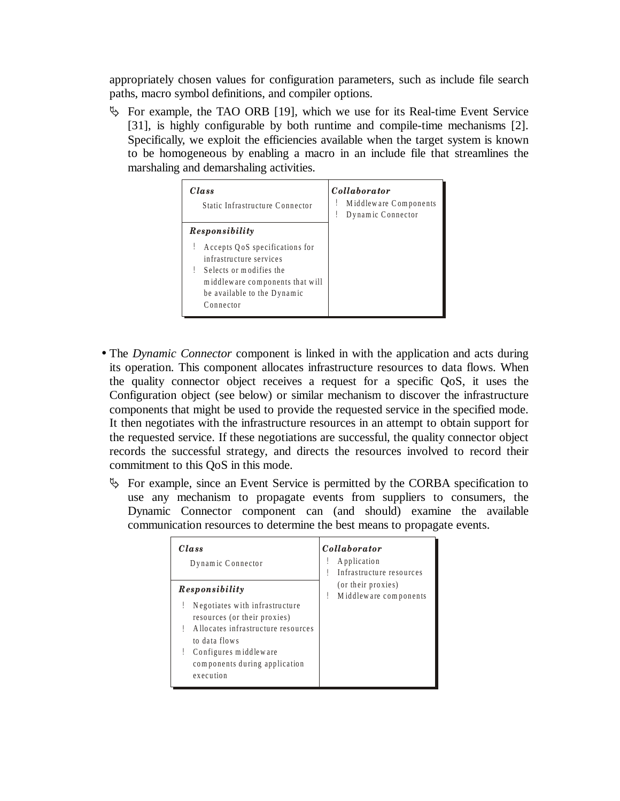appropriately chosen values for configuration parameters, such as include file search paths, macro symbol definitions, and compiler options.

 For example, the TAO ORB [19], which we use for its Real-time Event Service [31], is highly configurable by both runtime and compile-time mechanisms [2]. Specifically, we exploit the efficiencies available when the target system is known to be homogeneous by enabling a macro in an include file that streamlines the marshaling and demarshaling activities.

| Class                                                                                                                                                               | Collaborator                               |
|---------------------------------------------------------------------------------------------------------------------------------------------------------------------|--------------------------------------------|
| Static Infrastructure Connector                                                                                                                                     | Middleware Components<br>Dynamic Connector |
| <i><b>Responsibility</b></i>                                                                                                                                        |                                            |
| Accepts QoS specifications for<br>infrastructure services<br>Selects or modifies the<br>middleware components that will<br>be available to the Dynamic<br>Connector |                                            |

- The *Dynamic Connector* component is linked in with the application and acts during its operation. This component allocates infrastructure resources to data flows. When the quality connector object receives a request for a specific QoS, it uses the Configuration object (see below) or similar mechanism to discover the infrastructure components that might be used to provide the requested service in the specified mode. It then negotiates with the infrastructure resources in an attempt to obtain support for the requested service. If these negotiations are successful, the quality connector object records the successful strategy, and directs the resources involved to record their commitment to this QoS in this mode.
	- For example, since an Event Service is permitted by the CORBA specification to use any mechanism to propagate events from suppliers to consumers, the Dynamic Connector component can (and should) examine the available communication resources to determine the best means to propagate events.

| Class<br>Dynamic Connector                                                                                                                                                                                                   | <i>Collaborator</i><br>Application<br>Infrastructure resources |
|------------------------------------------------------------------------------------------------------------------------------------------------------------------------------------------------------------------------------|----------------------------------------------------------------|
| <i><b>Responsibility</b></i><br>Negotiates with infrastructure<br>resources (or their proxies)<br>Allocates infrastructure resources<br>to data flows<br>Configures middleware<br>components during application<br>execution | (or their proxies)<br>Middleware components                    |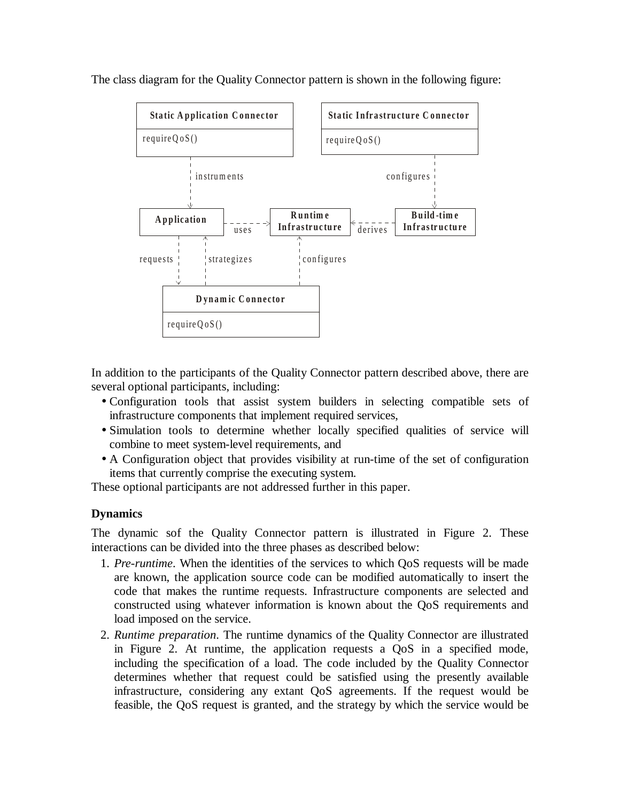

The class diagram for the Quality Connector pattern is shown in the following figure:

In addition to the participants of the Quality Connector pattern described above, there are several optional participants, including:

- Configuration tools that assist system builders in selecting compatible sets of infrastructure components that implement required services,
- Simulation tools to determine whether locally specified qualities of service will combine to meet system-level requirements, and
- A Configuration object that provides visibility at run-time of the set of configuration items that currently comprise the executing system.

These optional participants are not addressed further in this paper.

#### **Dynamics**

The dynamic sof the Quality Connector pattern is illustrated in Figure 2. These interactions can be divided into the three phases as described below:

- 1. *Pre-runtime*. When the identities of the services to which QoS requests will be made are known, the application source code can be modified automatically to insert the code that makes the runtime requests. Infrastructure components are selected and constructed using whatever information is known about the QoS requirements and load imposed on the service.
- 2. *Runtime preparation*. The runtime dynamics of the Quality Connector are illustrated in Figure 2. At runtime, the application requests a QoS in a specified mode, including the specification of a load. The code included by the Quality Connector determines whether that request could be satisfied using the presently available infrastructure, considering any extant QoS agreements. If the request would be feasible, the QoS request is granted, and the strategy by which the service would be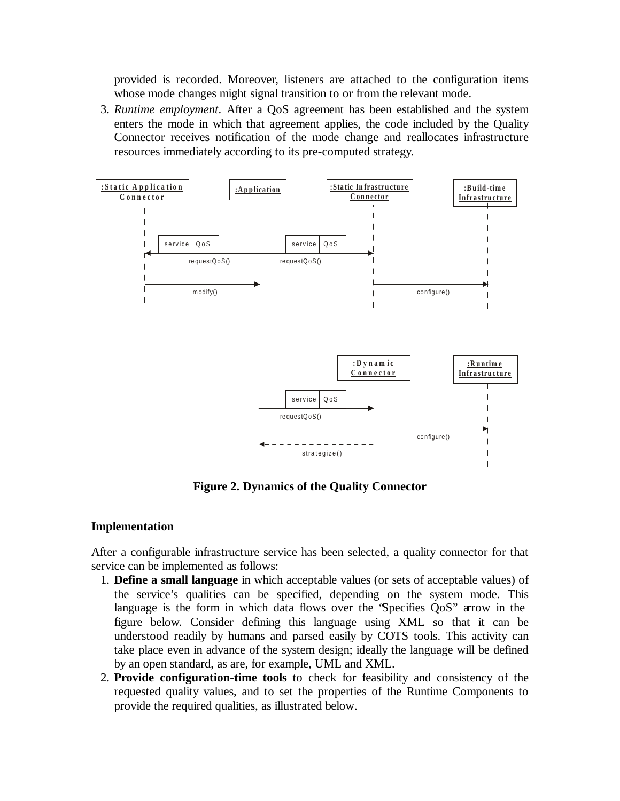provided is recorded. Moreover, listeners are attached to the configuration items whose mode changes might signal transition to or from the relevant mode.

3. *Runtime employment*. After a QoS agreement has been established and the system enters the mode in which that agreement applies, the code included by the Quality Connector receives notification of the mode change and reallocates infrastructure resources immediately according to its pre-computed strategy.



**Figure 2. Dynamics of the Quality Connector**

#### **Implementation**

After a configurable infrastructure service has been selected, a quality connector for that service can be implemented as follows:

- 1. **Define a small language** in which acceptable values (or sets of acceptable values) of the service's qualities can be specified, depending on the system mode. This language is the form in which data flows over the "Specifies QoS" arrow in the figure below. Consider defining this language using XML so that it can be understood readily by humans and parsed easily by COTS tools. This activity can take place even in advance of the system design; ideally the language will be defined by an open standard, as are, for example, UML and XML.
- 2. **Provide configuration-time tools** to check for feasibility and consistency of the requested quality values, and to set the properties of the Runtime Components to provide the required qualities, as illustrated below.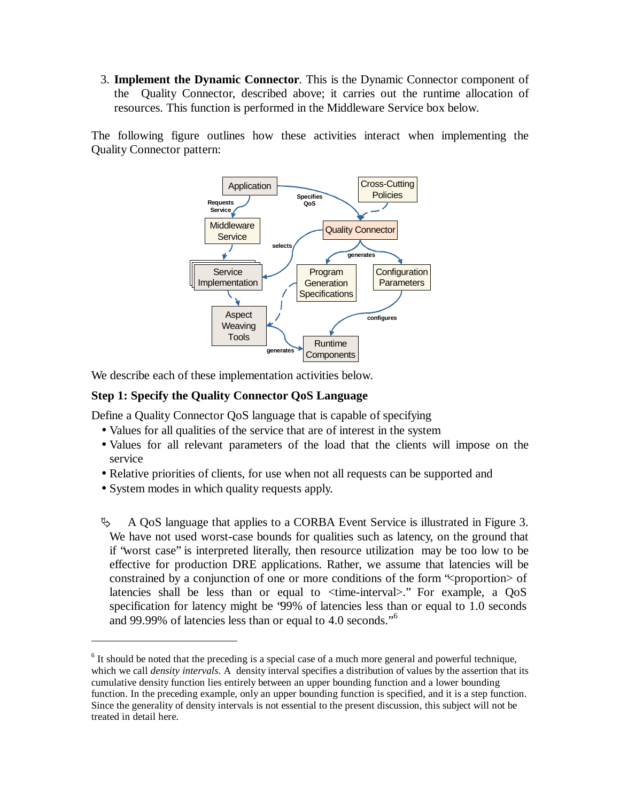3. **Implement the Dynamic Connector**. This is the Dynamic Connector component of the Quality Connector, described above; it carries out the runtime allocation of resources. This function is performed in the Middleware Service box below.

The following figure outlines how these activities interact when implementing the Quality Connector pattern:



We describe each of these implementation activities below.

# **Step 1: Specify the Quality Connector QoS Language**

Define a Quality Connector QoS language that is capable of specifying

- Values for all qualities of the service that are of interest in the system
- Values for all relevant parameters of the load that the clients will impose on the service
- Relative priorities of clients, for use when not all requests can be supported and
- System modes in which quality requests apply.

 $\overline{a}$ 

 $\phi$ A QoS language that applies to a CORBA Event Service is illustrated in Figure 3. We have not used worst-case bounds for qualities such as latency, on the ground that if "worst case" is interpreted literally, then resource utilization may be too low to be effective for production DRE applications. Rather, we assume that latencies will be constrained by a conjunction of one or more conditions of the form "sproportion of latencies shall be less than or equal to <time-interval>." For example, a QoS specification for latency might be "99% of latencies less than or equal to 1.0 seconds and 99.99% of latencies less than or equal to 4.0 seconds." 6

<sup>&</sup>lt;sup>6</sup> It should be noted that the preceding is a special case of a much more general and powerful technique, which we call *density intervals*. A density interval specifies a distribution of values by the assertion that its cumulative density function lies entirely between an upper bounding function and a lower bounding function. In the preceding example, only an upper bounding function is specified, and it is a step function. Since the generality of density intervals is not essential to the present discussion, this subject will not be treated in detail here.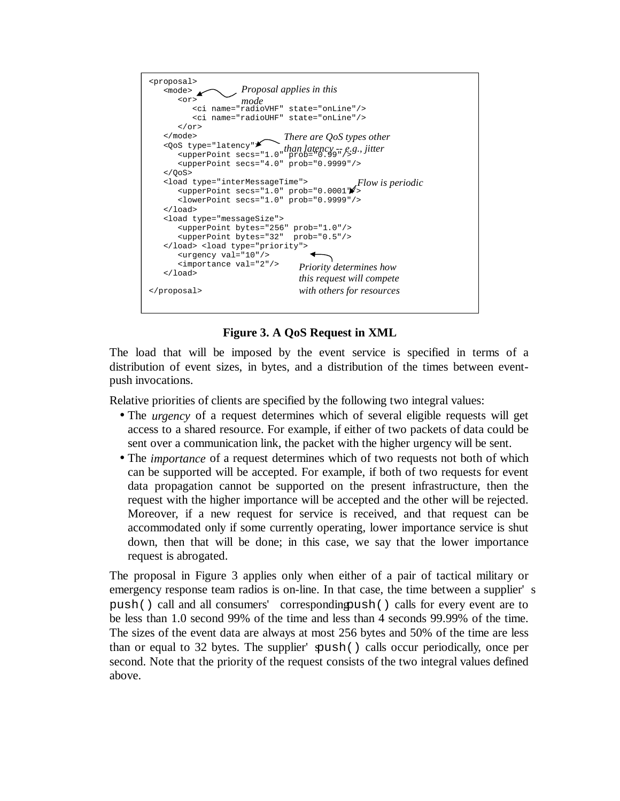

# **Figure 3. A QoS Request in XML**

The load that will be imposed by the event service is specified in terms of a distribution of event sizes, in bytes, and a distribution of the times between eventpush invocations.

Relative priorities of clients are specified by the following two integral values:

- The *urgency* of a request determines which of several eligible requests will get access to a shared resource. For example, if either of two packets of data could be sent over a communication link, the packet with the higher urgency will be sent.
- The *importance* of a request determines which of two requests not both of which can be supported will be accepted. For example, if both of two requests for event data propagation cannot be supported on the present infrastructure, then the request with the higher importance will be accepted and the other will be rejected. Moreover, if a new request for service is received, and that request can be accommodated only if some currently operating, lower importance service is shut down, then that will be done; in this case, we say that the lower importance request is abrogated.

The proposal in Figure 3 applies only when either of a pair of tactical military or emergency response team radios is on-line. In that case, the time between a supplier' s push() call and all consumers' corresponding push() calls for every event are to be less than 1.0 second 99% of the time and less than 4 seconds 99.99% of the time. The sizes of the event data are always at most 256 bytes and 50% of the time are less than or equal to 32 bytes. The supplier'  $\mathfrak{sp}(\cdot)$  calls occur periodically, once per second. Note that the priority of the request consists of the two integral values defined above.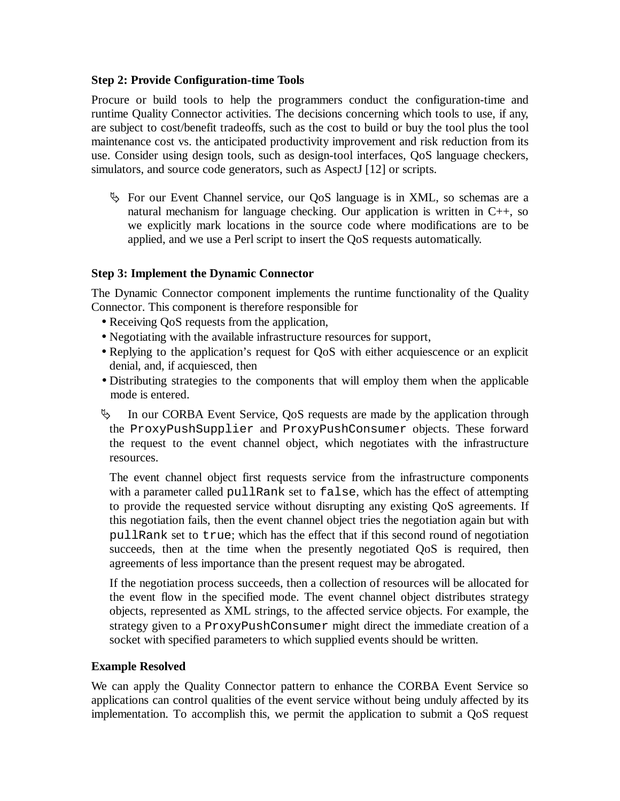#### **Step 2: Provide Configuration-time Tools**

Procure or build tools to help the programmers conduct the configuration-time and runtime Quality Connector activities. The decisions concerning which tools to use, if any, are subject to cost/benefit tradeoffs, such as the cost to build or buy the tool plus the tool maintenance cost vs. the anticipated productivity improvement and risk reduction from its use. Consider using design tools, such as design-tool interfaces, QoS language checkers, simulators, and source code generators, such as AspectJ [12] or scripts.

For our Event Channel service, our QoS language is in XML, so schemas are a natural mechanism for language checking. Our application is written in C++, so we explicitly mark locations in the source code where modifications are to be applied, and we use a Perl script to insert the QoS requests automatically.

#### **Step 3: Implement the Dynamic Connector**

The Dynamic Connector component implements the runtime functionality of the Quality Connector. This component is therefore responsible for

- Receiving QoS requests from the application,
- Negotiating with the available infrastructure resources for support,
- Replying to the application's request for QoS with either acquiescence or an explicit denial, and, if acquiesced, then
- Distributing strategies to the components that will employ them when the applicable mode is entered.
- IS. In our CORBA Event Service, QoS requests are made by the application through the ProxyPushSupplier and ProxyPushConsumer objects. These forward the request to the event channel object, which negotiates with the infrastructure resources.

The event channel object first requests service from the infrastructure components with a parameter called pullRank set to false, which has the effect of attempting to provide the requested service without disrupting any existing QoS agreements. If this negotiation fails, then the event channel object tries the negotiation again but with pullRank set to true; which has the effect that if this second round of negotiation succeeds, then at the time when the presently negotiated QoS is required, then agreements of less importance than the present request may be abrogated.

If the negotiation process succeeds, then a collection of resources will be allocated for the event flow in the specified mode. The event channel object distributes strategy objects, represented as XML strings, to the affected service objects. For example, the strategy given to a ProxyPushConsumer might direct the immediate creation of a socket with specified parameters to which supplied events should be written.

#### **Example Resolved**

We can apply the Quality Connector pattern to enhance the CORBA Event Service so applications can control qualities of the event service without being unduly affected by its implementation. To accomplish this, we permit the application to submit a QoS request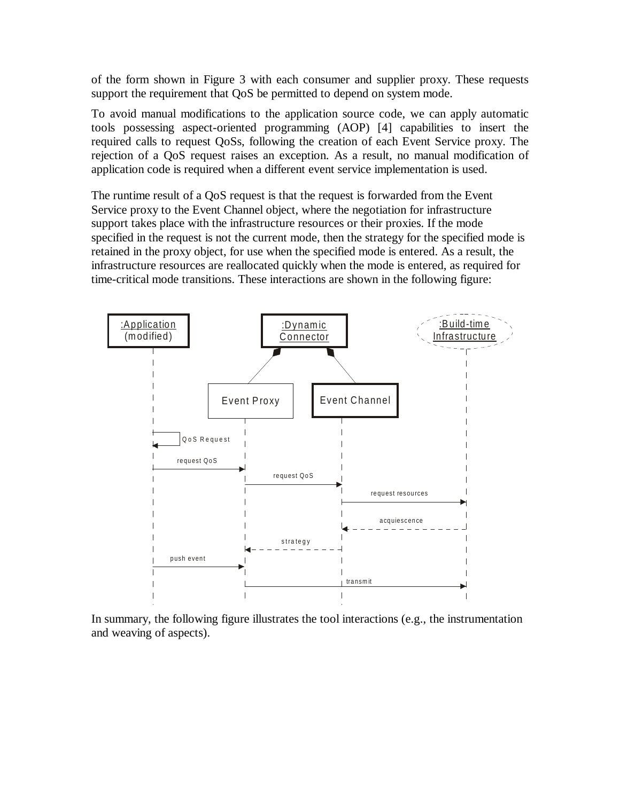of the form shown in Figure 3 with each consumer and supplier proxy. These requests support the requirement that QoS be permitted to depend on system mode.

To avoid manual modifications to the application source code, we can apply automatic tools possessing aspect-oriented programming (AOP) [4] capabilities to insert the required calls to request QoSs, following the creation of each Event Service proxy. The rejection of a QoS request raises an exception. As a result, no manual modification of application code is required when a different event service implementation is used.

The runtime result of a QoS request is that the request is forwarded from the Event Service proxy to the Event Channel object, where the negotiation for infrastructure support takes place with the infrastructure resources or their proxies. If the mode specified in the request is not the current mode, then the strategy for the specified mode is retained in the proxy object, for use when the specified mode is entered. As a result, the infrastructure resources are reallocated quickly when the mode is entered, as required for time-critical mode transitions. These interactions are shown in the following figure:



In summary, the following figure illustrates the tool interactions (e.g., the instrumentation and weaving of aspects).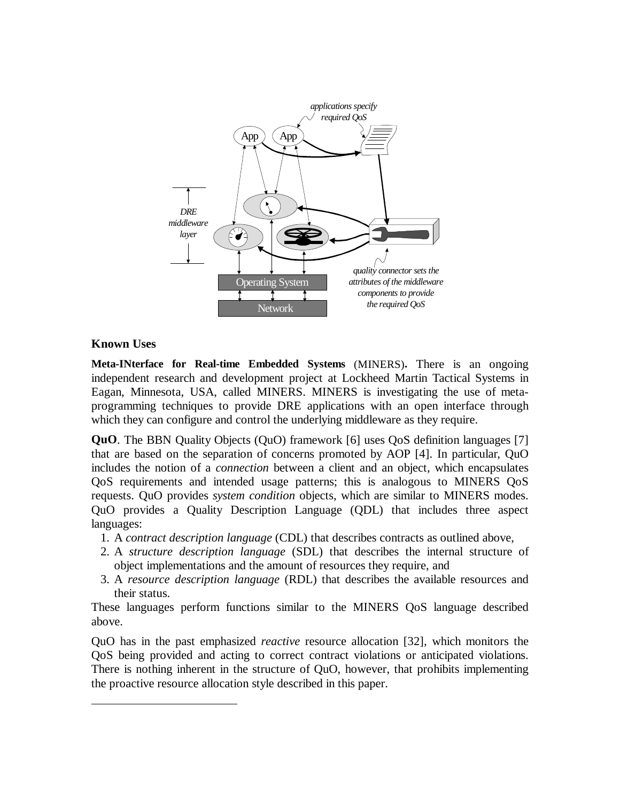

#### **Known Uses**

 $\overline{a}$ 

**Meta-INterface for Real-time Embedded Systems** (MINERS)**.** There is an ongoing independent research and development project at Lockheed Martin Tactical Systems in Eagan, Minnesota, USA, called MINERS. MINERS is investigating the use of metaprogramming techniques to provide DRE applications with an open interface through which they can configure and control the underlying middleware as they require.

**QuO**. The BBN Quality Objects (QuO) framework [6] uses QoS definition languages [7] that are based on the separation of concerns promoted by AOP [4]. In particular, QuO includes the notion of a *connection* between a client and an object, which encapsulates QoS requirements and intended usage patterns; this is analogous to MINERS QoS requests. QuO provides *system condition* objects, which are similar to MINERS modes. QuO provides a Quality Description Language (QDL) that includes three aspect languages:

- 1. A *contract description language* (CDL) that describes contracts as outlined above,
- 2. A *structure description language* (SDL) that describes the internal structure of object implementations and the amount of resources they require, and
- 3. A *resource description language* (RDL) that describes the available resources and their status.

These languages perform functions similar to the MINERS QoS language described above.

QuO has in the past emphasized *reactive* resource allocation [32], which monitors the QoS being provided and acting to correct contract violations or anticipated violations. There is nothing inherent in the structure of QuO, however, that prohibits implementing the proactive resource allocation style described in this paper.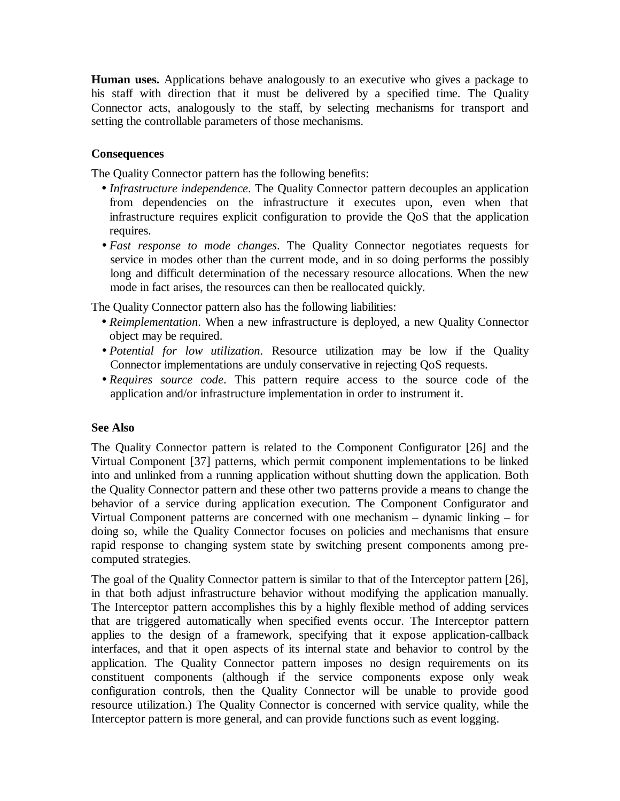**Human uses.** Applications behave analogously to an executive who gives a package to his staff with direction that it must be delivered by a specified time. The Quality Connector acts, analogously to the staff, by selecting mechanisms for transport and setting the controllable parameters of those mechanisms.

# **Consequences**

The Quality Connector pattern has the following benefits:

- *Infrastructure independence*. The Quality Connector pattern decouples an application from dependencies on the infrastructure it executes upon, even when that infrastructure requires explicit configuration to provide the QoS that the application requires.
- *Fast response to mode changes*. The Quality Connector negotiates requests for service in modes other than the current mode, and in so doing performs the possibly long and difficult determination of the necessary resource allocations. When the new mode in fact arises, the resources can then be reallocated quickly.

The Quality Connector pattern also has the following liabilities:

- *Reimplementation*. When a new infrastructure is deployed, a new Quality Connector object may be required.
- *Potential for low utilization*. Resource utilization may be low if the Quality Connector implementations are unduly conservative in rejecting QoS requests.
- *Requires source code*. This pattern require access to the source code of the application and/or infrastructure implementation in order to instrument it.

# **See Also**

The Quality Connector pattern is related to the Component Configurator [26] and the Virtual Component [37] patterns, which permit component implementations to be linked into and unlinked from a running application without shutting down the application. Both the Quality Connector pattern and these other two patterns provide a means to change the behavior of a service during application execution. The Component Configurator and Virtual Component patterns are concerned with one mechanism – dynamic linking – for doing so, while the Quality Connector focuses on policies and mechanisms that ensure rapid response to changing system state by switching present components among precomputed strategies.

The goal of the Quality Connector pattern is similar to that of the Interceptor pattern [26], in that both adjust infrastructure behavior without modifying the application manually. The Interceptor pattern accomplishes this by a highly flexible method of adding services that are triggered automatically when specified events occur. The Interceptor pattern applies to the design of a framework, specifying that it expose application-callback interfaces, and that it open aspects of its internal state and behavior to control by the application. The Quality Connector pattern imposes no design requirements on its constituent components (although if the service components expose only weak configuration controls, then the Quality Connector will be unable to provide good resource utilization.) The Quality Connector is concerned with service quality, while the Interceptor pattern is more general, and can provide functions such as event logging.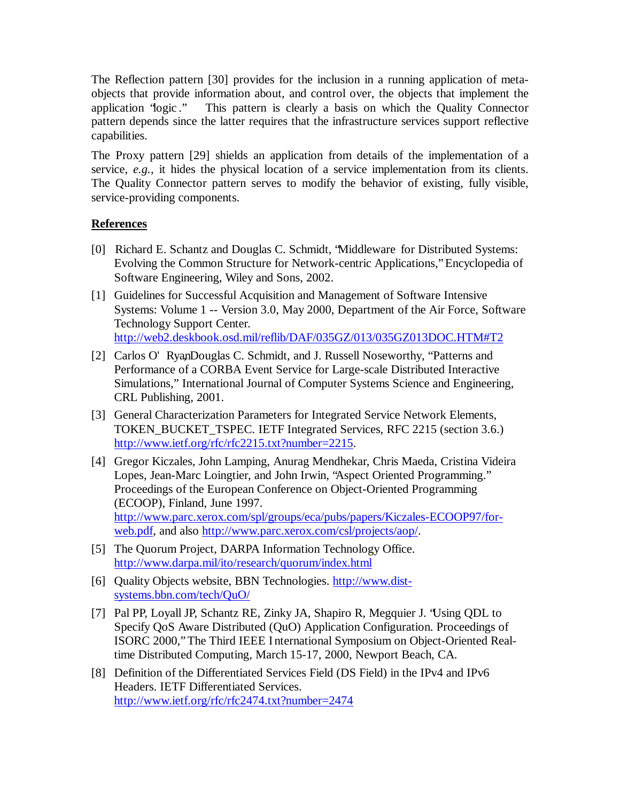The Reflection pattern [30] provides for the inclusion in a running application of metaobjects that provide information about, and control over, the objects that implement the application "logic ." This pattern is clearly a basis on which the Quality Connector pattern depends since the latter requires that the infrastructure services support reflective capabilities.

The Proxy pattern [29] shields an application from details of the implementation of a service, *e.g.*, it hides the physical location of a service implementation from its clients. The Quality Connector pattern serves to modify the behavior of existing, fully visible, service-providing components.

# **References**

- [0] Richard E. Schantz and Douglas C. Schmidt, "Middleware for Distributed Systems: Evolving the Common Structure for Network-centric Applications," Encyclopedia of Software Engineering, Wiley and Sons, 2002.
- [1] Guidelines for Successful Acquisition and Management of Software Intensive Systems: Volume 1 -- Version 3.0, May 2000, Department of the Air Force, Software Technology Support Center. http://web2.deskbook.osd.mil/reflib/DAF/035GZ/013/035GZ013DOC.HTM#T2
- [2] Carlos O' RyanDouglas C. Schmidt, and J. Russell Noseworthy, "Patterns and Performance of a CORBA Event Service for Large-scale Distributed Interactive Simulations," International Journal of Computer Systems Science and Engineering, CRL Publishing, 2001.
- [3] General Characterization Parameters for Integrated Service Network Elements, TOKEN\_BUCKET\_TSPEC. IETF Integrated Services, RFC 2215 (section 3.6.) http://www.ietf.org/rfc/rfc2215.txt?number=2215.
- [4] Gregor Kiczales, John Lamping, Anurag Mendhekar, Chris Maeda, Cristina Videira Lopes, Jean-Marc Loingtier, and John Irwin, "Aspect Oriented Programming." Proceedings of the European Conference on Object-Oriented Programming (ECOOP), Finland, June 1997. http://www.parc.xerox.com/spl/groups/eca/pubs/papers/Kiczales-ECOOP97/forweb.pdf, and also http://www.parc.xerox.com/csl/projects/aop/.
- [5] The Quorum Project, DARPA Information Technology Office. http://www.darpa.mil/ito/research/quorum/index.html
- [6] Quality Objects website, BBN Technologies. http://www.distsystems.bbn.com/tech/QuO/
- [7] Pal PP, Loyall JP, Schantz RE, Zinky JA, Shapiro R, Megquier J. 'Using ODL to Specify QoS Aware Distributed (QuO) Application Configuration. Proceedings of ISORC 2000," The Third IEEE I nternational Symposium on Object-Oriented Realtime Distributed Computing, March 15-17, 2000, Newport Beach, CA.
- [8] Definition of the Differentiated Services Field (DS Field) in the IPv4 and IPv6 Headers. IETF Differentiated Services. http://www.ietf.org/rfc/rfc2474.txt?number=2474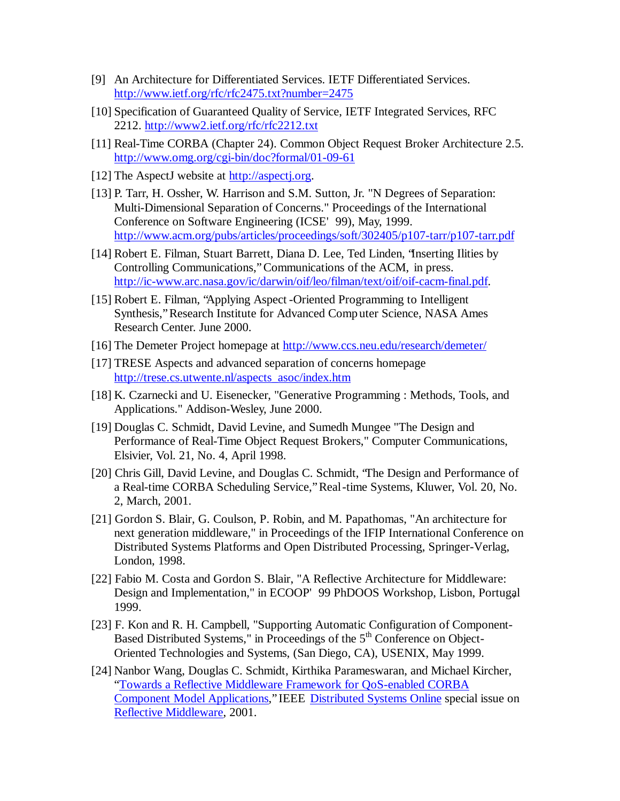- [9] An Architecture for Differentiated Services. IETF Differentiated Services. http://www.ietf.org/rfc/rfc2475.txt?number=2475
- [10] Specification of Guaranteed Quality of Service, IETF Integrated Services, RFC 2212. http://www2.ietf.org/rfc/rfc2212.txt
- [11] Real-Time CORBA (Chapter 24). Common Object Request Broker Architecture 2.5. http://www.omg.org/cgi-bin/doc?formal/01-09-61
- [12] The AspectJ website at http://aspectj.org.
- [13] P. Tarr, H. Ossher, W. Harrison and S.M. Sutton, Jr. "N Degrees of Separation: Multi-Dimensional Separation of Concerns." Proceedings of the International Conference on Software Engineering (ICSE' 99), May, 1999. http://www.acm.org/pubs/articles/proceedings/soft/302405/p107-tarr/p107-tarr.pdf
- [14] Robert E. Filman, Stuart Barrett, Diana D. Lee, Ted Linden, "Inserting Ilities by Controlling Communications," Communications of the ACM, in press. http://ic-www.arc.nasa.gov/ic/darwin/oif/leo/filman/text/oif/oif-cacm-final.pdf.
- [15] Robert E. Filman, "Applying Aspect -Oriented Programming to Intelligent Synthesis," Research Institute for Advanced Comp uter Science, NASA Ames Research Center. June 2000.
- [16] The Demeter Project homepage at http://www.ccs.neu.edu/research/demeter/
- [17] TRESE Aspects and advanced separation of concerns homepage http://trese.cs.utwente.nl/aspects\_asoc/index.htm
- [18] K. Czarnecki and U. Eisenecker, "Generative Programming : Methods, Tools, and Applications." Addison-Wesley, June 2000.
- [19] Douglas C. Schmidt, David Levine, and Sumedh Mungee "The Design and Performance of Real-Time Object Request Brokers," Computer Communications, Elsivier, Vol. 21, No. 4, April 1998.
- [20] Chris Gill, David Levine, and Douglas C. Schmidt, "The Design and Performance of a Real-time CORBA Scheduling Service," Real-time Systems, Kluwer, Vol. 20, No. 2, March, 2001.
- [21] Gordon S. Blair, G. Coulson, P. Robin, and M. Papathomas, "An architecture for next generation middleware," in Proceedings of the IFIP International Conference on Distributed Systems Platforms and Open Distributed Processing, Springer-Verlag, London, 1998.
- [22] Fabio M. Costa and Gordon S. Blair, "A Reflective Architecture for Middleware: Design and Implementation," in ECOOP' 99 PhDOOS Workshop, Lisbon, Portugal 1999.
- [23] F. Kon and R. H. Campbell, "Supporting Automatic Configuration of Component-Based Distributed Systems," in Proceedings of the 5<sup>th</sup> Conference on Object-Oriented Technologies and Systems, (San Diego, CA), USENIX, May 1999.
- [24] Nanbor Wang, Douglas C. Schmidt, Kirthika Parameswaran, and Michael Kircher, "Towards a Reflective Middleware Framework for QoS-enabled CORBA Component Model Applications," IEEE Distributed Systems Online special issue on Reflective Middleware, 2001.